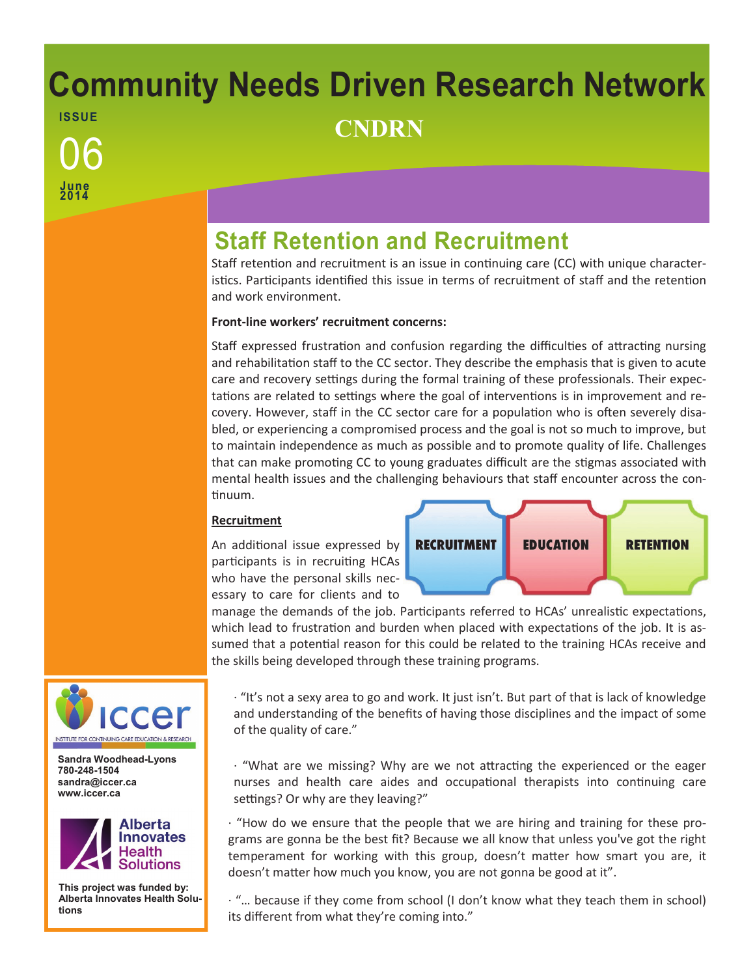# **Community Needs Driven Research Network ISSUE** <sup>06</sup> **CNDRN**

**Staff Retention and Recruitment**

Staff retention and recruitment is an issue in continuing care (CC) with unique characteristics. Participants identified this issue in terms of recruitment of staff and the retention and work environment.

### **Front-line workers' recruitment concerns:**

Staff expressed frustration and confusion regarding the difficulties of attracting nursing and rehabilitation staff to the CC sector. They describe the emphasis that is given to acute care and recovery settings during the formal training of these professionals. Their expectations are related to settings where the goal of interventions is in improvement and recovery. However, staff in the CC sector care for a population who is often severely disabled, or experiencing a compromised process and the goal is not so much to improve, but to maintain independence as much as possible and to promote quality of life. Challenges that can make promoting CC to young graduates difficult are the stigmas associated with mental health issues and the challenging behaviours that staff encounter across the continuum.

#### **Recruitment**

An additional issue expressed by participants is in recruiting HCAs who have the personal skills necessary to care for clients and to



manage the demands of the job. Participants referred to HCAs' unrealistic expectations, which lead to frustration and burden when placed with expectations of the job. It is assumed that a potential reason for this could be related to the training HCAs receive and the skills being developed through these training programs.

· "It's not a sexy area to go and work. It just isn't. But part of that is lack of knowledge and understanding of the benefits of having those disciplines and the impact of some of the quality of care."

· "What are we missing? Why are we not attracting the experienced or the eager nurses and health care aides and occupational therapists into continuing care settings? Or why are they leaving?"

· "How do we ensure that the people that we are hiring and training for these programs are gonna be the best fit? Because we all know that unless you've got the right temperament for working with this group, doesn't matter how smart you are, it doesn't matter how much you know, you are not gonna be good at it".

· "… because if they come from school (I don't know what they teach them in school) its different from what they're coming into."



**June 2014**

**Sandra Woodhead-Lyons 780-248-1504 sandra@iccer.ca www.iccer.ca** 



**This project was funded by: Alberta Innovates Health Solutions**